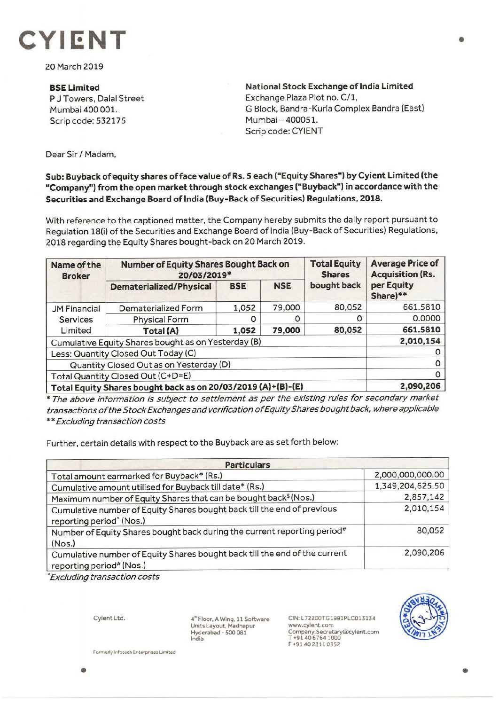

20 March 2019

**BSE Limited**  P J Towers, Dalal Street Mumbai 400 001. Scrip code: 532175

**National Stock Exchange of India Limited**  Exchange Plaza Plot no. C/1, G Block, Bandra-Kurla Complex Sandra (East) Mumbai - 400051. Scrip code: CYIENT

Dear Sir/ Madam,

**Sub: Buyback of equity shares of face value of Rs. 5 each ("Equity Shares") by Cyient Limited (the "Company") from the open market through stock exchanges ("Buyback") in accordance with the Securities and Exchange Board of India (Buy-Back of Securities) Regulations, 2018.** 

With reference to the captioned matter, the Company hereby submits the daily report pursuant to Regulation 18(i) of the Securities and Exchange Board of India (Buy-Back of Securities) Regulations, 2018 regarding the Equity Shares bought-back on 20 March 2019.

| Name of the<br><b>Broker</b>                                 | Number of Equity Shares Bought Back on<br>20/03/2019* |            |            | <b>Total Equity</b><br><b>Shares</b> | <b>Average Price of</b><br><b>Acquisition (Rs.</b> |
|--------------------------------------------------------------|-------------------------------------------------------|------------|------------|--------------------------------------|----------------------------------------------------|
|                                                              | <b>Dematerialized/Physical</b>                        | <b>BSE</b> | <b>NSE</b> | bought back                          | per Equity<br>Share)**                             |
| <b>JM Financial</b>                                          | Dematerialized Form                                   | 1,052      | 79,000     | 80,052                               | 661.5810                                           |
| Services<br>Limited                                          | <b>Physical Form</b>                                  |            |            | O                                    | 0.0000                                             |
|                                                              | Total (A)                                             | 1,052      | 79,000     | 80,052                               | 661.5810                                           |
| Cumulative Equity Shares bought as on Yesterday (B)          |                                                       |            |            |                                      | 2,010,154                                          |
| Less: Quantity Closed Out Today (C)                          |                                                       |            |            |                                      |                                                    |
| Quantity Closed Out as on Yesterday (D)                      |                                                       |            |            |                                      |                                                    |
| Total Quantity Closed Out (C+D=E)                            |                                                       |            |            |                                      |                                                    |
| Total Equity Shares bought back as on 20/03/2019 (A)+(B)-(E) |                                                       |            |            |                                      | 2,090,206                                          |

\* The above information is subject to settlement as per the existing rules for secondary market transactions of the Stock Exchanges and verification of Equity Shares bought back, where applicable \*\* Excluding transaction costs

Further, certain details with respect to the Buyback are as set forth below:

| <b>Particulars</b>                                                                                              |                  |  |  |  |
|-----------------------------------------------------------------------------------------------------------------|------------------|--|--|--|
| Total amount earmarked for Buyback* (Rs.)                                                                       | 2,000,000,000.00 |  |  |  |
| Cumulative amount utilised for Buyback till date* (Rs.)                                                         | 1,349,204,625.50 |  |  |  |
| Maximum number of Equity Shares that can be bought back <sup>\$</sup> (Nos.)                                    | 2,857,142        |  |  |  |
| Cumulative number of Equity Shares bought back till the end of previous<br>reporting period <sup>^</sup> (Nos.) | 2,010,154        |  |  |  |
| Number of Equity Shares bought back during the current reporting period#<br>(Nos.)                              | 80,052           |  |  |  |
| Cumulative number of Equity Shares bought back till the end of the current<br>reporting period# (Nos.)          | 2,090,206        |  |  |  |

• Excluding transaction costs

Cyient Ltd.

4" Floor, A Wing, 11 Software Units Layout, Madhapur Hyderabad - 500 081 India

CIN: L72200TG1991PLC013134 www.cyient.com Company.Secretary@cylent.com<br>T +91 40 6764 1000 F +9140 2311 0352



**Formerly infotech Enterprises Limited** 

•

•